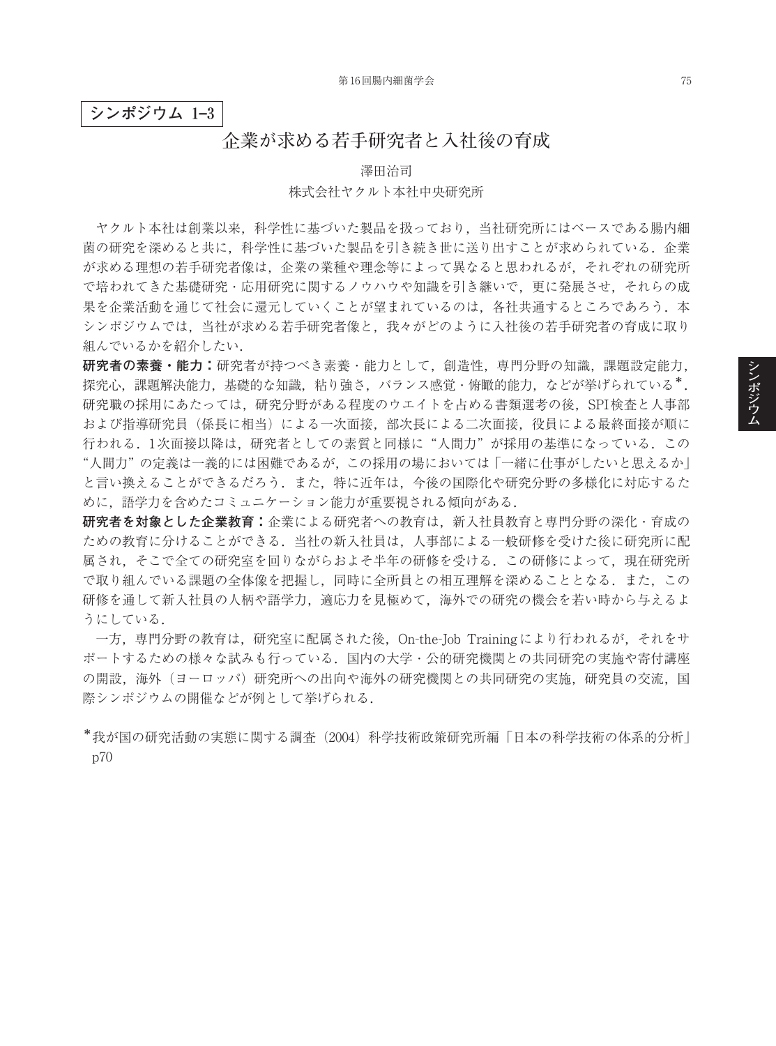**シンポジウム 1–3**

## **企業が求める若手研究者と入社後の育成**

澤田治司

## 株式会社ヤクルト本社中央研究所

ヤクルト本社は創業以来,科学性に基づいた製品を扱っており,当社研究所にはベースである腸内細 菌の研究を深めると共に、科学性に基づいた製品を引き続き世に送り出すことが求められている。企業 が求める理想の若手研究者像は,企業の業種や理念等によって異なると思われるが,それぞれの研究所 で培われてきた基礎研究・応用研究に関するノウハウや知識を引き継いで、更に発展させ、それらの成 果を企業活動を通じて社会に還元していくことが望まれているのは、各社共通するところであろう.本 シンポジウムでは,当社が求める若手研究者像と,我々がどのように入社後の若手研究者の育成に取り 組んでいるかを紹介したい.

**研究者の素養・能力:**研究者が持つべき素養・能力として,創造性,専門分野の知識,課題設定能力, 探究心,課題解決能力,基礎的な知識,粘り強さ,バランス感覚·俯瞰的能力,などが挙げられている\*. 研究職の採用にあたっては,研究分野がある程度のウエイトを占める書類選考の後,SPI検査と人事部 および指導研究員(係長に相当)による一次面接,部次長による二次面接,役員による最終面接が順に 行われる.1次面接以降は,研究者としての素質と同様に"人間力"が採用の基準になっている.この "人間力"の定義は一義的には困難であるが,この採用の場においては「一緒に仕事がしたいと思えるか」 と言い換えることができるだろう.また,特に近年は,今後の国際化や研究分野の多様化に対応するた めに,語学力を含めたコミュニケーション能力が重要視される傾向がある.

**研究者を対象とした企業教育:**企業による研究者への教育は,新入社員教育と専門分野の深化・育成の ための教育に分けることができる.当社の新入社員は,人事部による一般研修を受けた後に研究所に配 属され、そこで全ての研究室を回りながらおよそ半年の研修を受ける.ここの研修によって,現在研究所 で取り組んでいる課題の全体像を把握し,同時に全所員との相互理解を深めることとなる.また,この 研修を通して新入社員の人柄や語学力,適応力を見極めて,海外での研究の機会を若い時から与えるよ うにしている.

一方,専門分野の教育は,研究室に配属された後,On-the-Job Trainingにより行われるが,それをサ ポートするための様々な試みも行っている.国内の大学・公的研究機関との共同研究の実施や寄付講座 の開設、海外(ヨーロッパ)研究所への出向や海外の研究機関との共同研究の実施、研究員の交流、国 際シンポジウムの開催などが例として挙げられる.

\*我が国の研究活動の実態に関する調査(2004)科学技術政策研究所編「日本の科学技術の体系的分析」 p70